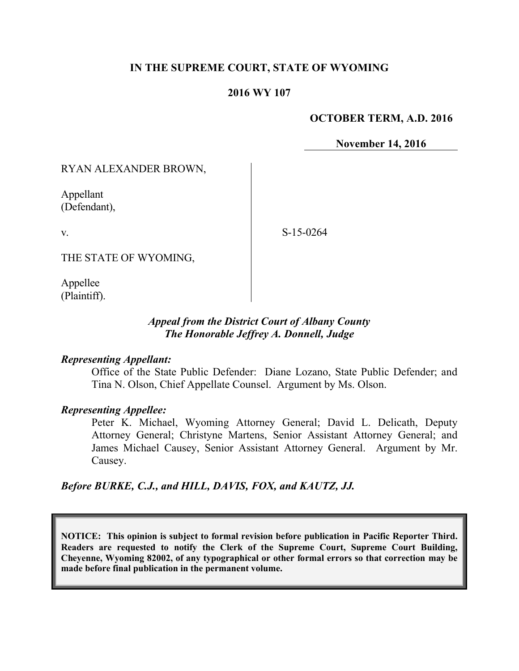## **IN THE SUPREME COURT, STATE OF WYOMING**

## **2016 WY 107**

## **OCTOBER TERM, A.D. 2016**

**November 14, 2016**

RYAN ALEXANDER BROWN,

Appellant (Defendant),

v.

S-15-0264

THE STATE OF WYOMING,

Appellee (Plaintiff).

## *Appeal from the District Court of Albany County The Honorable Jeffrey A. Donnell, Judge*

## *Representing Appellant:*

Office of the State Public Defender: Diane Lozano, State Public Defender; and Tina N. Olson, Chief Appellate Counsel. Argument by Ms. Olson.

## *Representing Appellee:*

Peter K. Michael, Wyoming Attorney General; David L. Delicath, Deputy Attorney General; Christyne Martens, Senior Assistant Attorney General; and James Michael Causey, Senior Assistant Attorney General. Argument by Mr. Causey.

*Before BURKE, C.J., and HILL, DAVIS, FOX, and KAUTZ, JJ.*

**NOTICE: This opinion is subject to formal revision before publication in Pacific Reporter Third. Readers are requested to notify the Clerk of the Supreme Court, Supreme Court Building, Cheyenne, Wyoming 82002, of any typographical or other formal errors so that correction may be made before final publication in the permanent volume.**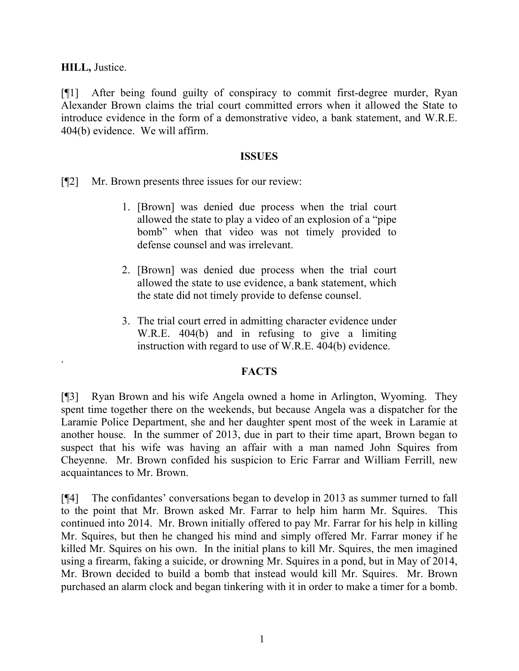**HILL,** Justice.

.

[¶1] After being found guilty of conspiracy to commit first-degree murder, Ryan Alexander Brown claims the trial court committed errors when it allowed the State to introduce evidence in the form of a demonstrative video, a bank statement, and W.R.E. 404(b) evidence. We will affirm.

## **ISSUES**

[¶2] Mr. Brown presents three issues for our review:

- 1. [Brown] was denied due process when the trial court allowed the state to play a video of an explosion of a "pipe bomb" when that video was not timely provided to defense counsel and was irrelevant.
- 2. [Brown] was denied due process when the trial court allowed the state to use evidence, a bank statement, which the state did not timely provide to defense counsel.
- 3. The trial court erred in admitting character evidence under W.R.E. 404(b) and in refusing to give a limiting instruction with regard to use of W.R.E. 404(b) evidence.

# **FACTS**

[¶3] Ryan Brown and his wife Angela owned a home in Arlington, Wyoming. They spent time together there on the weekends, but because Angela was a dispatcher for the Laramie Police Department, she and her daughter spent most of the week in Laramie at another house. In the summer of 2013, due in part to their time apart, Brown began to suspect that his wife was having an affair with a man named John Squires from Cheyenne. Mr. Brown confided his suspicion to Eric Farrar and William Ferrill, new acquaintances to Mr. Brown.

[¶4] The confidantes' conversations began to develop in 2013 as summer turned to fall to the point that Mr. Brown asked Mr. Farrar to help him harm Mr. Squires. This continued into 2014. Mr. Brown initially offered to pay Mr. Farrar for his help in killing Mr. Squires, but then he changed his mind and simply offered Mr. Farrar money if he killed Mr. Squires on his own. In the initial plans to kill Mr. Squires, the men imagined using a firearm, faking a suicide, or drowning Mr. Squires in a pond, but in May of 2014, Mr. Brown decided to build a bomb that instead would kill Mr. Squires. Mr. Brown purchased an alarm clock and began tinkering with it in order to make a timer for a bomb.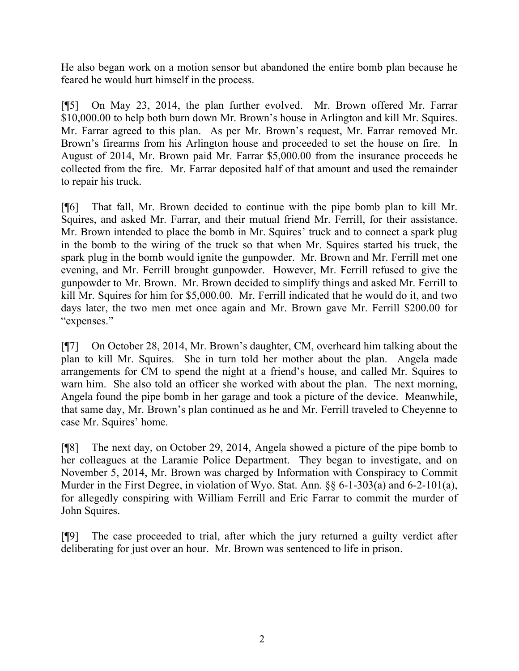He also began work on a motion sensor but abandoned the entire bomb plan because he feared he would hurt himself in the process.

[¶5] On May 23, 2014, the plan further evolved. Mr. Brown offered Mr. Farrar \$10,000.00 to help both burn down Mr. Brown's house in Arlington and kill Mr. Squires. Mr. Farrar agreed to this plan. As per Mr. Brown's request, Mr. Farrar removed Mr. Brown's firearms from his Arlington house and proceeded to set the house on fire. In August of 2014, Mr. Brown paid Mr. Farrar \$5,000.00 from the insurance proceeds he collected from the fire. Mr. Farrar deposited half of that amount and used the remainder to repair his truck.

[¶6] That fall, Mr. Brown decided to continue with the pipe bomb plan to kill Mr. Squires, and asked Mr. Farrar, and their mutual friend Mr. Ferrill, for their assistance. Mr. Brown intended to place the bomb in Mr. Squires' truck and to connect a spark plug in the bomb to the wiring of the truck so that when Mr. Squires started his truck, the spark plug in the bomb would ignite the gunpowder. Mr. Brown and Mr. Ferrill met one evening, and Mr. Ferrill brought gunpowder. However, Mr. Ferrill refused to give the gunpowder to Mr. Brown. Mr. Brown decided to simplify things and asked Mr. Ferrill to kill Mr. Squires for him for \$5,000.00. Mr. Ferrill indicated that he would do it, and two days later, the two men met once again and Mr. Brown gave Mr. Ferrill \$200.00 for "expenses."

[¶7] On October 28, 2014, Mr. Brown's daughter, CM, overheard him talking about the plan to kill Mr. Squires. She in turn told her mother about the plan. Angela made arrangements for CM to spend the night at a friend's house, and called Mr. Squires to warn him. She also told an officer she worked with about the plan. The next morning, Angela found the pipe bomb in her garage and took a picture of the device. Meanwhile, that same day, Mr. Brown's plan continued as he and Mr. Ferrill traveled to Cheyenne to case Mr. Squires' home.

[¶8] The next day, on October 29, 2014, Angela showed a picture of the pipe bomb to her colleagues at the Laramie Police Department. They began to investigate, and on November 5, 2014, Mr. Brown was charged by Information with Conspiracy to Commit Murder in the First Degree, in violation of Wyo. Stat. Ann. §§ 6-1-303(a) and 6-2-101(a), for allegedly conspiring with William Ferrill and Eric Farrar to commit the murder of John Squires.

[¶9] The case proceeded to trial, after which the jury returned a guilty verdict after deliberating for just over an hour. Mr. Brown was sentenced to life in prison.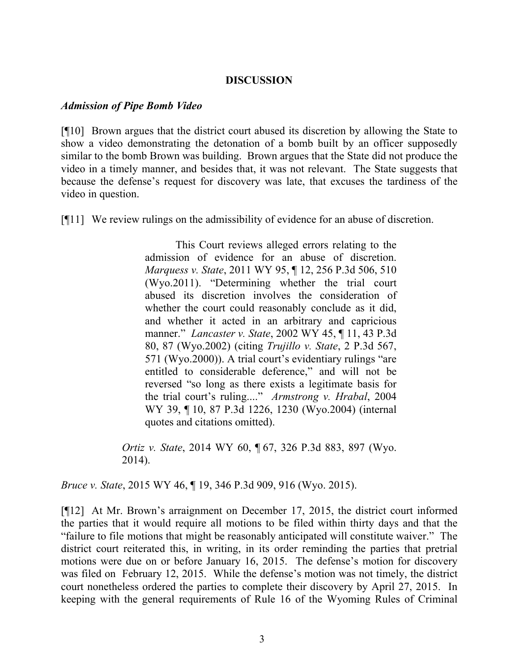## **DISCUSSION**

#### *Admission of Pipe Bomb Video*

[¶10] Brown argues that the district court abused its discretion by allowing the State to show a video demonstrating the detonation of a bomb built by an officer supposedly similar to the bomb Brown was building. Brown argues that the State did not produce the video in a timely manner, and besides that, it was not relevant. The State suggests that because the defense's request for discovery was late, that excuses the tardiness of the video in question.

[¶11] We review rulings on the admissibility of evidence for an abuse of discretion.

This Court reviews alleged errors relating to the admission of evidence for an abuse of discretion. *Marquess v. State*, 2011 WY 95, ¶ 12, 256 P.3d 506, 510 (Wyo.2011). "Determining whether the trial court abused its discretion involves the consideration of whether the court could reasonably conclude as it did, and whether it acted in an arbitrary and capricious manner." *Lancaster v. State*, 2002 WY 45, ¶ 11, 43 P.3d 80, 87 (Wyo.2002) (citing *Trujillo v. State*, 2 P.3d 567, 571 (Wyo.2000)). A trial court's evidentiary rulings "are entitled to considerable deference," and will not be reversed "so long as there exists a legitimate basis for the trial court's ruling...." *Armstrong v. Hrabal*, 2004 WY 39, ¶ 10, 87 P.3d 1226, 1230 (Wyo.2004) (internal quotes and citations omitted).

*Ortiz v. State*, 2014 WY 60, ¶ 67, 326 P.3d 883, 897 (Wyo. 2014).

*Bruce v. State*, 2015 WY 46, ¶ 19, 346 P.3d 909, 916 (Wyo. 2015).

[¶12] At Mr. Brown's arraignment on December 17, 2015, the district court informed the parties that it would require all motions to be filed within thirty days and that the "failure to file motions that might be reasonably anticipated will constitute waiver." The district court reiterated this, in writing, in its order reminding the parties that pretrial motions were due on or before January 16, 2015. The defense's motion for discovery was filed on February 12, 2015. While the defense's motion was not timely, the district court nonetheless ordered the parties to complete their discovery by April 27, 2015. In keeping with the general requirements of Rule 16 of the Wyoming Rules of Criminal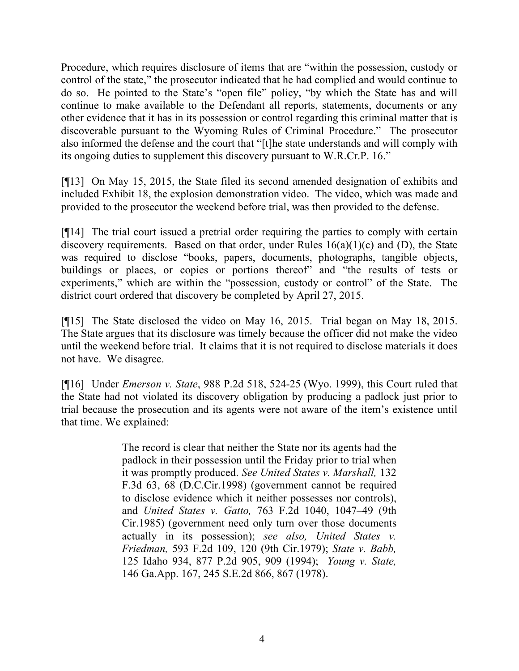Procedure, which requires disclosure of items that are "within the possession, custody or control of the state," the prosecutor indicated that he had complied and would continue to do so. He pointed to the State's "open file" policy, "by which the State has and will continue to make available to the Defendant all reports, statements, documents or any other evidence that it has in its possession or control regarding this criminal matter that is discoverable pursuant to the Wyoming Rules of Criminal Procedure." The prosecutor also informed the defense and the court that "[t]he state understands and will comply with its ongoing duties to supplement this discovery pursuant to W.R.Cr.P. 16."

[¶13] On May 15, 2015, the State filed its second amended designation of exhibits and included Exhibit 18, the explosion demonstration video. The video, which was made and provided to the prosecutor the weekend before trial, was then provided to the defense.

[¶14] The trial court issued a pretrial order requiring the parties to comply with certain discovery requirements. Based on that order, under Rules  $16(a)(1)(c)$  and (D), the State was required to disclose "books, papers, documents, photographs, tangible objects, buildings or places, or copies or portions thereof" and "the results of tests or experiments," which are within the "possession, custody or control" of the State. The district court ordered that discovery be completed by April 27, 2015.

[¶15] The State disclosed the video on May 16, 2015. Trial began on May 18, 2015. The State argues that its disclosure was timely because the officer did not make the video until the weekend before trial. It claims that it is not required to disclose materials it does not have. We disagree.

[¶16] Under *Emerson v. State*, 988 P.2d 518, 524-25 (Wyo. 1999), this Court ruled that the State had not violated its discovery obligation by producing a padlock just prior to trial because the prosecution and its agents were not aware of the item's existence until that time. We explained:

> The record is clear that neither the State nor its agents had the padlock in their possession until the Friday prior to trial when it was promptly produced. *See United States v. Marshall,* 132 F.3d 63, 68 (D.C.Cir.1998) (government cannot be required to disclose evidence which it neither possesses nor controls), and *United States v. Gatto,* 763 F.2d 1040, 1047–49 (9th Cir.1985) (government need only turn over those documents actually in its possession); *see also, United States v. Friedman,* 593 F.2d 109, 120 (9th Cir.1979); *State v. Babb,* 125 Idaho 934, 877 P.2d 905, 909 (1994); *Young v. State,* 146 Ga.App. 167, 245 S.E.2d 866, 867 (1978).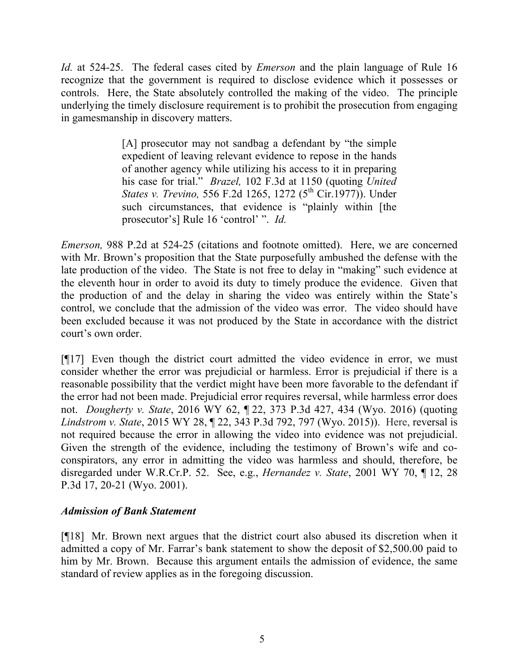*Id.* at 524-25. The federal cases cited by *Emerson* and the plain language of Rule 16 recognize that the government is required to disclose evidence which it possesses or controls. Here, the State absolutely controlled the making of the video. The principle underlying the timely disclosure requirement is to prohibit the prosecution from engaging in gamesmanship in discovery matters.

> [A] prosecutor may not sandbag a defendant by "the simple expedient of leaving relevant evidence to repose in the hands of another agency while utilizing his access to it in preparing his case for trial." *Brazel,* 102 F.3d at 1150 (quoting *United States v. Trevino,* 556 F.2d 1265, 1272 (5<sup>th</sup> Cir.1977)). Under such circumstances, that evidence is "plainly within [the prosecutor's] Rule 16 'control' ". *Id.*

*Emerson,* 988 P.2d at 524-25 (citations and footnote omitted). Here, we are concerned with Mr. Brown's proposition that the State purposefully ambushed the defense with the late production of the video. The State is not free to delay in "making" such evidence at the eleventh hour in order to avoid its duty to timely produce the evidence. Given that the production of and the delay in sharing the video was entirely within the State's control, we conclude that the admission of the video was error. The video should have been excluded because it was not produced by the State in accordance with the district court's own order.

[¶17] Even though the district court admitted the video evidence in error, we must consider whether the error was prejudicial or harmless. Error is prejudicial if there is a reasonable possibility that the verdict might have been more favorable to the defendant if the error had not been made. Prejudicial error requires reversal, while harmless error does not. *Dougherty v. State*, 2016 WY 62, ¶ 22, 373 P.3d 427, 434 (Wyo. 2016) (quoting *Lindstrom v. State*, 2015 WY 28, ¶ 22, 343 P.3d 792, 797 (Wyo. 2015)). Here, reversal is not required because the error in allowing the video into evidence was not prejudicial. Given the strength of the evidence, including the testimony of Brown's wife and coconspirators, any error in admitting the video was harmless and should, therefore, be disregarded under W.R.Cr.P. 52. See, e.g., *Hernandez v. State*, 2001 WY 70, ¶ 12, 28 P.3d 17, 20-21 (Wyo. 2001).

# *Admission of Bank Statement*

[¶18] Mr. Brown next argues that the district court also abused its discretion when it admitted a copy of Mr. Farrar's bank statement to show the deposit of \$2,500.00 paid to him by Mr. Brown. Because this argument entails the admission of evidence, the same standard of review applies as in the foregoing discussion.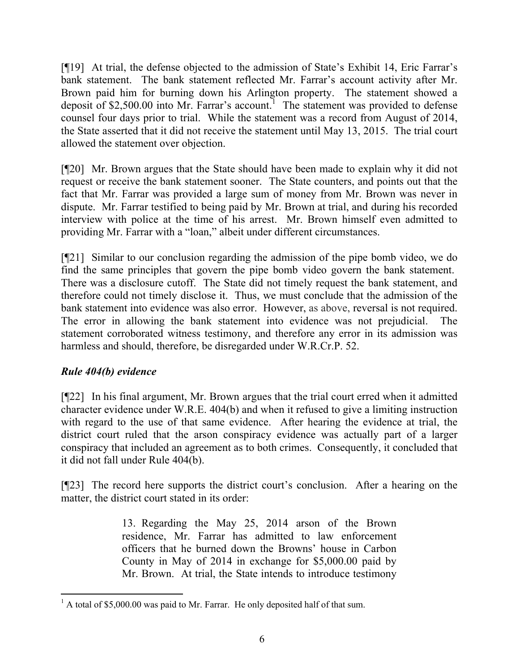[¶19] At trial, the defense objected to the admission of State's Exhibit 14, Eric Farrar's bank statement. The bank statement reflected Mr. Farrar's account activity after Mr. Brown paid him for burning down his Arlington property. The statement showed a deposit of \$2,500.00 into Mr. Farrar's account.<sup>1</sup> The statement was provided to defense counsel four days prior to trial. While the statement was a record from August of 2014, the State asserted that it did not receive the statement until May 13, 2015. The trial court allowed the statement over objection.

[¶20] Mr. Brown argues that the State should have been made to explain why it did not request or receive the bank statement sooner. The State counters, and points out that the fact that Mr. Farrar was provided a large sum of money from Mr. Brown was never in dispute. Mr. Farrar testified to being paid by Mr. Brown at trial, and during his recorded interview with police at the time of his arrest. Mr. Brown himself even admitted to providing Mr. Farrar with a "loan," albeit under different circumstances.

[¶21] Similar to our conclusion regarding the admission of the pipe bomb video, we do find the same principles that govern the pipe bomb video govern the bank statement. There was a disclosure cutoff. The State did not timely request the bank statement, and therefore could not timely disclose it. Thus, we must conclude that the admission of the bank statement into evidence was also error. However, as above, reversal is not required. The error in allowing the bank statement into evidence was not prejudicial. The statement corroborated witness testimony, and therefore any error in its admission was harmless and should, therefore, be disregarded under W.R.Cr.P. 52.

# *Rule 404(b) evidence*

[¶22] In his final argument, Mr. Brown argues that the trial court erred when it admitted character evidence under W.R.E. 404(b) and when it refused to give a limiting instruction with regard to the use of that same evidence. After hearing the evidence at trial, the district court ruled that the arson conspiracy evidence was actually part of a larger conspiracy that included an agreement as to both crimes. Consequently, it concluded that it did not fall under Rule 404(b).

[¶23] The record here supports the district court's conclusion. After a hearing on the matter, the district court stated in its order:

> 13. Regarding the May 25, 2014 arson of the Brown residence, Mr. Farrar has admitted to law enforcement officers that he burned down the Browns' house in Carbon County in May of 2014 in exchange for \$5,000.00 paid by Mr. Brown. At trial, the State intends to introduce testimony

l  $1$  A total of \$5,000.00 was paid to Mr. Farrar. He only deposited half of that sum.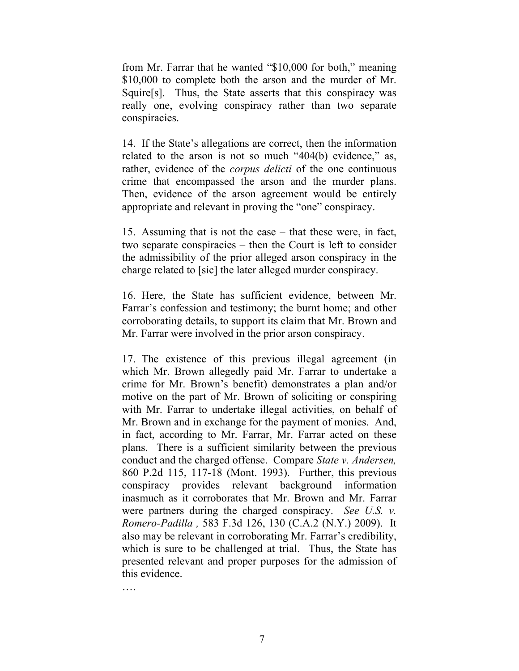from Mr. Farrar that he wanted "\$10,000 for both," meaning \$10,000 to complete both the arson and the murder of Mr. Squire[s]. Thus, the State asserts that this conspiracy was really one, evolving conspiracy rather than two separate conspiracies.

14. If the State's allegations are correct, then the information related to the arson is not so much "404(b) evidence," as, rather, evidence of the *corpus delicti* of the one continuous crime that encompassed the arson and the murder plans. Then, evidence of the arson agreement would be entirely appropriate and relevant in proving the "one" conspiracy.

15. Assuming that is not the case – that these were, in fact, two separate conspiracies – then the Court is left to consider the admissibility of the prior alleged arson conspiracy in the charge related to [sic] the later alleged murder conspiracy.

16. Here, the State has sufficient evidence, between Mr. Farrar's confession and testimony; the burnt home; and other corroborating details, to support its claim that Mr. Brown and Mr. Farrar were involved in the prior arson conspiracy.

17. The existence of this previous illegal agreement (in which Mr. Brown allegedly paid Mr. Farrar to undertake a crime for Mr. Brown's benefit) demonstrates a plan and/or motive on the part of Mr. Brown of soliciting or conspiring with Mr. Farrar to undertake illegal activities, on behalf of Mr. Brown and in exchange for the payment of monies. And, in fact, according to Mr. Farrar, Mr. Farrar acted on these plans. There is a sufficient similarity between the previous conduct and the charged offense. Compare *State v. Andersen,*  860 P.2d 115, 117-18 (Mont. 1993). Further, this previous conspiracy provides relevant background information inasmuch as it corroborates that Mr. Brown and Mr. Farrar were partners during the charged conspiracy. *See U.S. v. Romero-Padilla ,* 583 F.3d 126, 130 (C.A.2 (N.Y.) 2009). It also may be relevant in corroborating Mr. Farrar's credibility, which is sure to be challenged at trial. Thus, the State has presented relevant and proper purposes for the admission of this evidence.

….